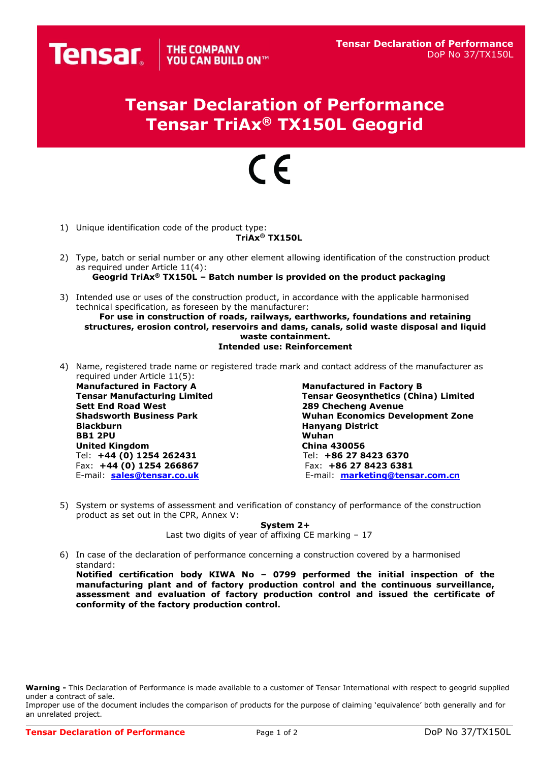## **Tensar Declaration of Performance Tensar TriAx® TX150L Geogrid**

## $\epsilon$

1) Unique identification code of the product type:

**Tensar** vou CAN BUILD ON

## **TriAx® TX150L**

- 2) Type, batch or serial number or any other element allowing identification of the construction product as required under Article 11(4): **Geogrid TriAx® TX150L – Batch number is provided on the product packaging**
- 3) Intended use or uses of the construction product, in accordance with the applicable harmonised technical specification, as foreseen by the manufacturer:

**For use in construction of roads, railways, earthworks, foundations and retaining structures, erosion control, reservoirs and dams, canals, solid waste disposal and liquid waste containment. Intended use: Reinforcement**

4) Name, registered trade name or registered trade mark and contact address of the manufacturer as required under Article 11(5):

**Manufactured in Factory A Manufactured in Factory B BB1 2PU United Kingdom China 430056** Tel: **+44 (0) 1254 262431** Tel: **+86 27 8423 6370** Fax: **+44 (0) 1254 266867** Fax: **+86 27 8423 6381**

**Tensar Manufacturing Limited Tensar Geosynthetics (China) Limited 289 Checheng Avenue Shadsworth Business Park Wuhan Economics Development Zone Hanyang District**<br>Wuhan E-mail: **[sales@tensar.co.uk](mailto:sales@tensar.co.uk)** E-mail: **[marketing@tensar.com.c](mailto:marketing@tensar.com.)n**

5) System or systems of assessment and verification of constancy of performance of the construction product as set out in the CPR, Annex V:

**System 2+**

Last two digits of year of affixing CE marking – 17

6) In case of the declaration of performance concerning a construction covered by a harmonised standard:

**Notified certification body KIWA No – 0799 performed the initial inspection of the manufacturing plant and of factory production control and the continuous surveillance, assessment and evaluation of factory production control and issued the certificate of conformity of the factory production control.**

**Warning -** This Declaration of Performance is made available to a customer of Tensar International with respect to geogrid supplied under a contract of sale.

Improper use of the document includes the comparison of products for the purpose of claiming 'equivalence' both generally and for an unrelated project.